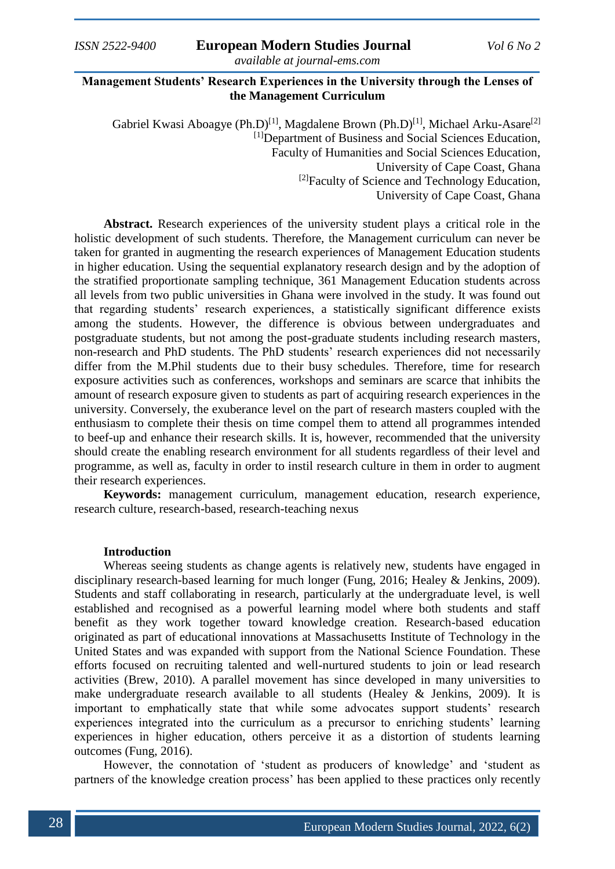# **Management Students' Research Experiences in the University through the Lenses of the Management Curriculum**

Gabriel Kwasi Aboagye (Ph.D)<sup>[1]</sup>, Magdalene Brown (Ph.D)<sup>[1]</sup>, Michael Arku-Asare<sup>[2]</sup> [1]Department of Business and Social Sciences Education, Faculty of Humanities and Social Sciences Education, University of Cape Coast, Ghana <sup>[2]</sup>Faculty of Science and Technology Education, University of Cape Coast, Ghana

**Abstract.** Research experiences of the university student plays a critical role in the holistic development of such students. Therefore, the Management curriculum can never be taken for granted in augmenting the research experiences of Management Education students in higher education. Using the sequential explanatory research design and by the adoption of the stratified proportionate sampling technique, 361 Management Education students across all levels from two public universities in Ghana were involved in the study. It was found out that regarding students' research experiences, a statistically significant difference exists among the students. However, the difference is obvious between undergraduates and postgraduate students, but not among the post-graduate students including research masters, non-research and PhD students. The PhD students' research experiences did not necessarily differ from the M.Phil students due to their busy schedules. Therefore, time for research exposure activities such as conferences, workshops and seminars are scarce that inhibits the amount of research exposure given to students as part of acquiring research experiences in the university. Conversely, the exuberance level on the part of research masters coupled with the enthusiasm to complete their thesis on time compel them to attend all programmes intended to beef-up and enhance their research skills. It is, however, recommended that the university should create the enabling research environment for all students regardless of their level and programme, as well as, faculty in order to instil research culture in them in order to augment their research experiences.

**Keywords:** management curriculum, management education, research experience, research culture, research-based, research-teaching nexus

## **Introduction**

Whereas seeing students as change agents is relatively new, students have engaged in disciplinary research-based learning for much longer (Fung, 2016; Healey & Jenkins, 2009). Students and staff collaborating in research, particularly at the undergraduate level, is well established and recognised as a powerful learning model where both students and staff benefit as they work together toward knowledge creation. Research-based education originated as part of educational innovations at Massachusetts Institute of Technology in the United States and was expanded with support from the National Science Foundation. These efforts focused on recruiting talented and well-nurtured students to join or lead research activities (Brew, 2010). A parallel movement has since developed in many universities to make undergraduate research available to all students (Healey & Jenkins, 2009). It is important to emphatically state that while some advocates support students' research experiences integrated into the curriculum as a precursor to enriching students' learning experiences in higher education, others perceive it as a distortion of students learning outcomes (Fung, 2016).

However, the connotation of 'student as producers of knowledge' and 'student as partners of the knowledge creation process' has been applied to these practices only recently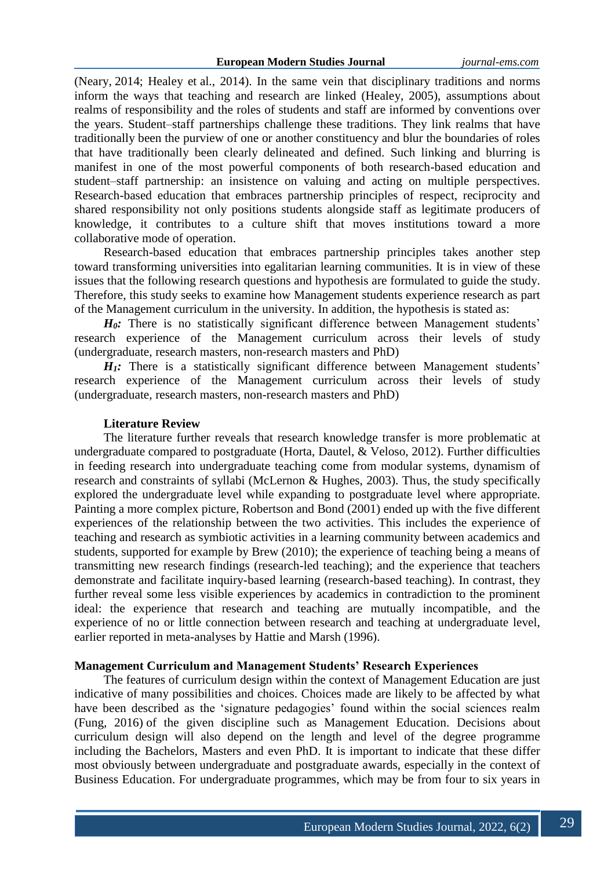(Neary, 2014; Healey et al., 2014). In the same vein that disciplinary traditions and norms inform the ways that teaching and research are linked (Healey, 2005), assumptions about realms of responsibility and the roles of students and staff are informed by conventions over the years. Student–staff partnerships challenge these traditions. They link realms that have traditionally been the purview of one or another constituency and blur the boundaries of roles that have traditionally been clearly delineated and defined. Such linking and blurring is manifest in one of the most powerful components of both research-based education and student–staff partnership: an insistence on valuing and acting on multiple perspectives. Research-based education that embraces partnership principles of respect, reciprocity and shared responsibility not only positions students alongside staff as legitimate producers of knowledge, it contributes to a culture shift that moves institutions toward a more collaborative mode of operation.

Research-based education that embraces partnership principles takes another step toward transforming universities into egalitarian learning communities. It is in view of these issues that the following research questions and hypothesis are formulated to guide the study. Therefore, this study seeks to examine how Management students experience research as part of the Management curriculum in the university. In addition, the hypothesis is stated as:

*H<sub>0</sub>*: There is no statistically significant difference between Management students' research experience of the Management curriculum across their levels of study (undergraduate, research masters, non-research masters and PhD)

*H<sub>1</sub>*: There is a statistically significant difference between Management students' research experience of the Management curriculum across their levels of study (undergraduate, research masters, non-research masters and PhD)

## **Literature Review**

The literature further reveals that research knowledge transfer is more problematic at undergraduate compared to postgraduate (Horta, Dautel, & Veloso, 2012). Further difficulties in feeding research into undergraduate teaching come from modular systems, dynamism of research and constraints of syllabi (McLernon & Hughes, 2003). Thus, the study specifically explored the undergraduate level while expanding to postgraduate level where appropriate. Painting a more complex picture, Robertson and Bond (2001) ended up with the five different experiences of the relationship between the two activities. This includes the experience of teaching and research as symbiotic activities in a learning community between academics and students, supported for example by Brew (2010); the experience of teaching being a means of transmitting new research findings (research-led teaching); and the experience that teachers demonstrate and facilitate inquiry-based learning (research-based teaching). In contrast, they further reveal some less visible experiences by academics in contradiction to the prominent ideal: the experience that research and teaching are mutually incompatible, and the experience of no or little connection between research and teaching at undergraduate level, earlier reported in meta-analyses by Hattie and Marsh (1996).

## **Management Curriculum and Management Students' Research Experiences**

The features of curriculum design within the context of Management Education are just indicative of many possibilities and choices. Choices made are likely to be affected by what have been described as the 'signature pedagogies' found within the social sciences realm (Fung, 2016) of the given discipline such as Management Education. Decisions about curriculum design will also depend on the length and level of the degree programme including the Bachelors, Masters and even PhD. It is important to indicate that these differ most obviously between undergraduate and postgraduate awards, especially in the context of Business Education. For undergraduate programmes, which may be from four to six years in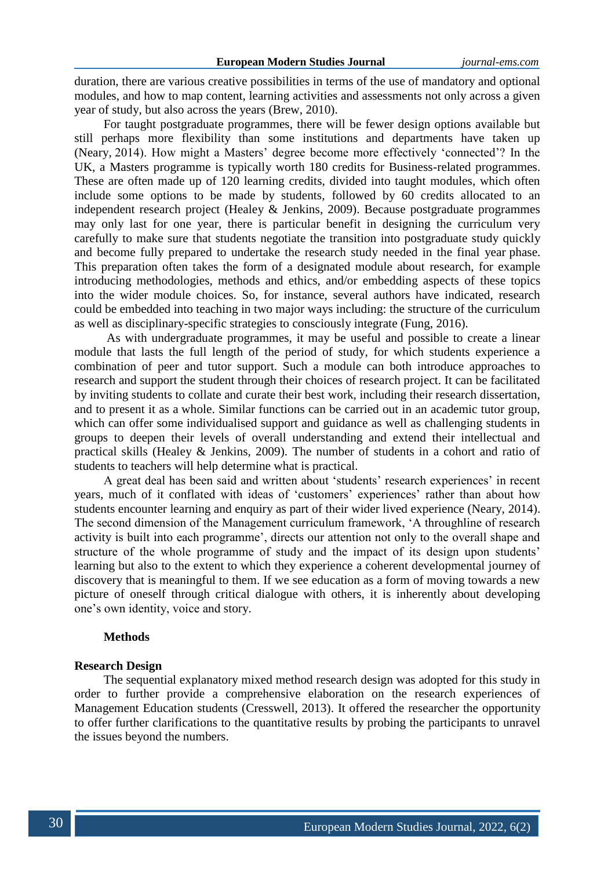duration, there are various creative possibilities in terms of the use of mandatory and optional modules, and how to map content, learning activities and assessments not only across a given year of study, but also across the years (Brew, 2010).

For taught postgraduate programmes, there will be fewer design options available but still perhaps more flexibility than some institutions and departments have taken up (Neary, 2014). How might a Masters' degree become more effectively 'connected'? In the UK, a Masters programme is typically worth 180 credits for Business-related programmes. These are often made up of 120 learning credits, divided into taught modules, which often include some options to be made by students, followed by 60 credits allocated to an independent research project (Healey & Jenkins, 2009). Because postgraduate programmes may only last for one year, there is particular benefit in designing the curriculum very carefully to make sure that students negotiate the transition into postgraduate study quickly and become fully prepared to undertake the research study needed in the final year phase. This preparation often takes the form of a designated module about research, for example introducing methodologies, methods and ethics, and/or embedding aspects of these topics into the wider module choices. So, for instance, several authors have indicated, research could be embedded into teaching in two major ways including: the structure of the curriculum as well as disciplinary-specific strategies to consciously integrate (Fung, 2016).

As with undergraduate programmes, it may be useful and possible to create a linear module that lasts the full length of the period of study, for which students experience a combination of peer and tutor support. Such a module can both introduce approaches to research and support the student through their choices of research project. It can be facilitated by inviting students to collate and curate their best work, including their research dissertation, and to present it as a whole. Similar functions can be carried out in an academic tutor group, which can offer some individualised support and guidance as well as challenging students in groups to deepen their levels of overall understanding and extend their intellectual and practical skills (Healey & Jenkins, 2009). The number of students in a cohort and ratio of students to teachers will help determine what is practical.

A great deal has been said and written about 'students' research experiences' in recent years, much of it conflated with ideas of 'customers' experiences' rather than about how students encounter learning and enquiry as part of their wider lived experience (Neary, 2014). The second dimension of the Management curriculum framework, 'A throughline of research activity is built into each programme', directs our attention not only to the overall shape and structure of the whole programme of study and the impact of its design upon students' learning but also to the extent to which they experience a coherent developmental journey of discovery that is meaningful to them. If we see education as a form of moving towards a new picture of oneself through critical dialogue with others, it is inherently about developing one's own identity, voice and story.

## **Methods**

#### **Research Design**

The sequential explanatory mixed method research design was adopted for this study in order to further provide a comprehensive elaboration on the research experiences of Management Education students (Cresswell, 2013). It offered the researcher the opportunity to offer further clarifications to the quantitative results by probing the participants to unravel the issues beyond the numbers.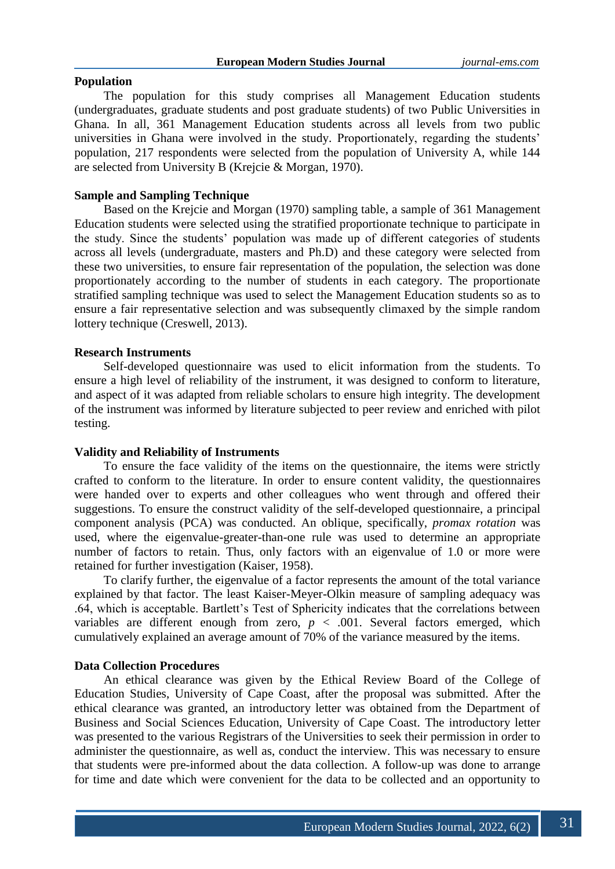## **Population**

The population for this study comprises all Management Education students (undergraduates, graduate students and post graduate students) of two Public Universities in Ghana. In all, 361 Management Education students across all levels from two public universities in Ghana were involved in the study. Proportionately, regarding the students' population, 217 respondents were selected from the population of University A, while 144 are selected from University B (Krejcie & Morgan, 1970).

## **Sample and Sampling Technique**

Based on the Krejcie and Morgan (1970) sampling table, a sample of 361 Management Education students were selected using the stratified proportionate technique to participate in the study. Since the students' population was made up of different categories of students across all levels (undergraduate, masters and Ph.D) and these category were selected from these two universities, to ensure fair representation of the population, the selection was done proportionately according to the number of students in each category. The proportionate stratified sampling technique was used to select the Management Education students so as to ensure a fair representative selection and was subsequently climaxed by the simple random lottery technique (Creswell, 2013).

## **Research Instruments**

Self-developed questionnaire was used to elicit information from the students. To ensure a high level of reliability of the instrument, it was designed to conform to literature, and aspect of it was adapted from reliable scholars to ensure high integrity. The development of the instrument was informed by literature subjected to peer review and enriched with pilot testing.

### **Validity and Reliability of Instruments**

To ensure the face validity of the items on the questionnaire, the items were strictly crafted to conform to the literature. In order to ensure content validity, the questionnaires were handed over to experts and other colleagues who went through and offered their suggestions. To ensure the construct validity of the self-developed questionnaire, a principal component analysis (PCA) was conducted. An oblique, specifically, *promax rotation* was used, where the eigenvalue-greater-than-one rule was used to determine an appropriate number of factors to retain. Thus, only factors with an eigenvalue of 1.0 or more were retained for further investigation (Kaiser, 1958).

To clarify further, the eigenvalue of a factor represents the amount of the total variance explained by that factor. The least Kaiser-Meyer-Olkin measure of sampling adequacy was .64, which is acceptable. Bartlett's Test of Sphericity indicates that the correlations between variables are different enough from zero,  $p < .001$ . Several factors emerged, which cumulatively explained an average amount of 70% of the variance measured by the items.

## **Data Collection Procedures**

An ethical clearance was given by the Ethical Review Board of the College of Education Studies, University of Cape Coast, after the proposal was submitted. After the ethical clearance was granted, an introductory letter was obtained from the Department of Business and Social Sciences Education, University of Cape Coast. The introductory letter was presented to the various Registrars of the Universities to seek their permission in order to administer the questionnaire, as well as, conduct the interview. This was necessary to ensure that students were pre-informed about the data collection. A follow-up was done to arrange for time and date which were convenient for the data to be collected and an opportunity to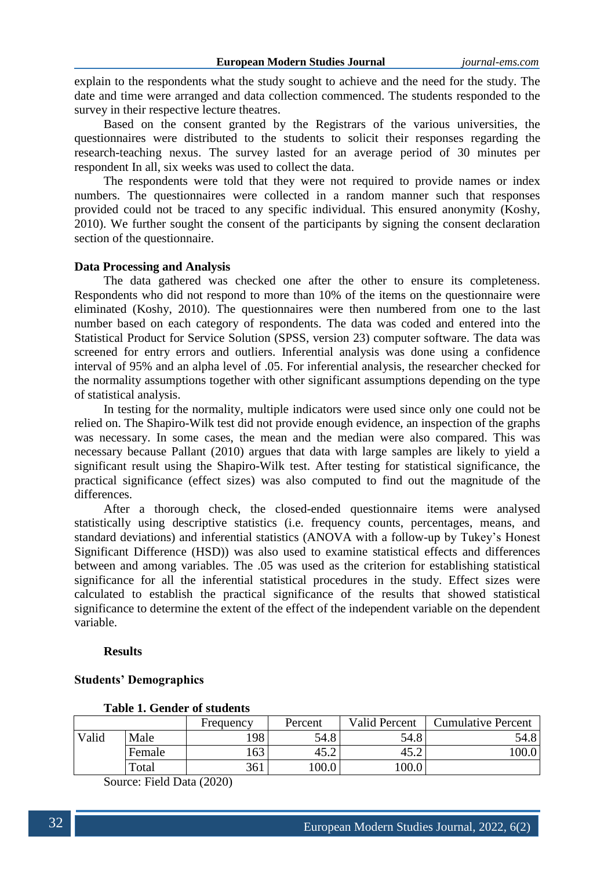explain to the respondents what the study sought to achieve and the need for the study. The date and time were arranged and data collection commenced. The students responded to the survey in their respective lecture theatres.

Based on the consent granted by the Registrars of the various universities, the questionnaires were distributed to the students to solicit their responses regarding the research-teaching nexus. The survey lasted for an average period of 30 minutes per respondent In all, six weeks was used to collect the data.

The respondents were told that they were not required to provide names or index numbers. The questionnaires were collected in a random manner such that responses provided could not be traced to any specific individual. This ensured anonymity (Koshy, 2010). We further sought the consent of the participants by signing the consent declaration section of the questionnaire.

### **Data Processing and Analysis**

The data gathered was checked one after the other to ensure its completeness. Respondents who did not respond to more than 10% of the items on the questionnaire were eliminated (Koshy, 2010). The questionnaires were then numbered from one to the last number based on each category of respondents. The data was coded and entered into the Statistical Product for Service Solution (SPSS, version 23) computer software. The data was screened for entry errors and outliers. Inferential analysis was done using a confidence interval of 95% and an alpha level of .05. For inferential analysis, the researcher checked for the normality assumptions together with other significant assumptions depending on the type of statistical analysis.

In testing for the normality, multiple indicators were used since only one could not be relied on. The Shapiro-Wilk test did not provide enough evidence, an inspection of the graphs was necessary. In some cases, the mean and the median were also compared. This was necessary because Pallant (2010) argues that data with large samples are likely to yield a significant result using the Shapiro-Wilk test. After testing for statistical significance, the practical significance (effect sizes) was also computed to find out the magnitude of the differences.

After a thorough check, the closed-ended questionnaire items were analysed statistically using descriptive statistics (i.e. frequency counts, percentages, means, and standard deviations) and inferential statistics (ANOVA with a follow-up by Tukey's Honest Significant Difference (HSD)) was also used to examine statistical effects and differences between and among variables. The .05 was used as the criterion for establishing statistical significance for all the inferential statistical procedures in the study. Effect sizes were calculated to establish the practical significance of the results that showed statistical significance to determine the extent of the effect of the independent variable on the dependent variable.

#### **Results**

| <b>Students' Demographics</b> |  |
|-------------------------------|--|
|-------------------------------|--|

|       |        | Frequency | Percent | <b>Valid Percent</b>           | <b>Cumulative Percent</b> |
|-------|--------|-----------|---------|--------------------------------|---------------------------|
| Valid | Male   | 198       | 54.8    | 54.8                           | 54.8                      |
|       | Female | 163       | 45.2    | $\overline{ }$<br>45. $\angle$ | .00.0                     |
|       | Total  | 361       | 100.0   | 100.0                          |                           |

**Table 1. Gender of students**

Source: Field Data (2020)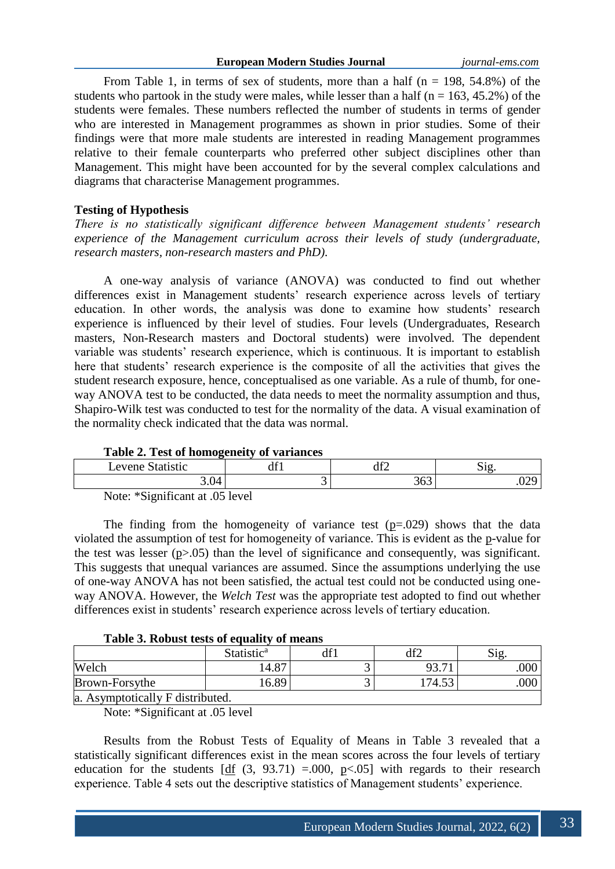From Table 1, in terms of sex of students, more than a half  $(n = 198, 54.8\%)$  of the students who partook in the study were males, while lesser than a half ( $n = 163, 45.2\%$ ) of the students were females. These numbers reflected the number of students in terms of gender who are interested in Management programmes as shown in prior studies. Some of their findings were that more male students are interested in reading Management programmes relative to their female counterparts who preferred other subject disciplines other than Management. This might have been accounted for by the several complex calculations and diagrams that characterise Management programmes.

## **Testing of Hypothesis**

*There is no statistically significant difference between Management students' research experience of the Management curriculum across their levels of study (undergraduate, research masters, non-research masters and PhD).*

A one-way analysis of variance (ANOVA) was conducted to find out whether differences exist in Management students' research experience across levels of tertiary education. In other words, the analysis was done to examine how students' research experience is influenced by their level of studies. Four levels (Undergraduates, Research masters, Non-Research masters and Doctoral students) were involved. The dependent variable was students' research experience, which is continuous. It is important to establish here that students' research experience is the composite of all the activities that gives the student research exposure, hence, conceptualised as one variable. As a rule of thumb, for oneway ANOVA test to be conducted, the data needs to meet the normality assumption and thus, Shapiro-Wilk test was conducted to test for the normality of the data. A visual examination of the normality check indicated that the data was normal.

| <b>Table 2. Test of homogeneity of variances</b> |     |            |      |  |  |  |  |  |
|--------------------------------------------------|-----|------------|------|--|--|--|--|--|
| Levene Statistic                                 | df1 |            | 812  |  |  |  |  |  |
| $3.04$ <sup><math>+</math></sup>                 | ັ   | 262<br>JUJ | .029 |  |  |  |  |  |

|  | Table 2. Test of homogeneity of variances |  |
|--|-------------------------------------------|--|
|  |                                           |  |

Note: \*Significant at .05 level

The finding from the homogeneity of variance test  $(p=.029)$  shows that the data violated the assumption of test for homogeneity of variance. This is evident as the p-value for the test was lesser  $(p>0.05)$  than the level of significance and consequently, was significant. This suggests that unequal variances are assumed. Since the assumptions underlying the use of one-way ANOVA has not been satisfied, the actual test could not be conducted using oneway ANOVA. However, the *Welch Test* was the appropriate test adopted to find out whether differences exist in students' research experience across levels of tertiary education.

|  |  |  |  | Table 3. Robust tests of equality of means |  |  |
|--|--|--|--|--------------------------------------------|--|--|
|--|--|--|--|--------------------------------------------|--|--|

|                                  | Statistic <sup>a</sup> | $df^{\dagger}$ |        | S12 |  |  |  |  |  |
|----------------------------------|------------------------|----------------|--------|-----|--|--|--|--|--|
| Welch                            | 14.87                  |                | 93.71  | 000 |  |  |  |  |  |
| Brown-Forsythe                   | 16.89                  |                | 174.53 | 000 |  |  |  |  |  |
| a. Asymptotically F distributed. |                        |                |        |     |  |  |  |  |  |

Note: \*Significant at .05 level

Results from the Robust Tests of Equality of Means in Table 3 revealed that a statistically significant differences exist in the mean scores across the four levels of tertiary education for the students  $[df (3, 93.71) = .000, p<.05]$  with regards to their research experience. Table 4 sets out the descriptive statistics of Management students' experience.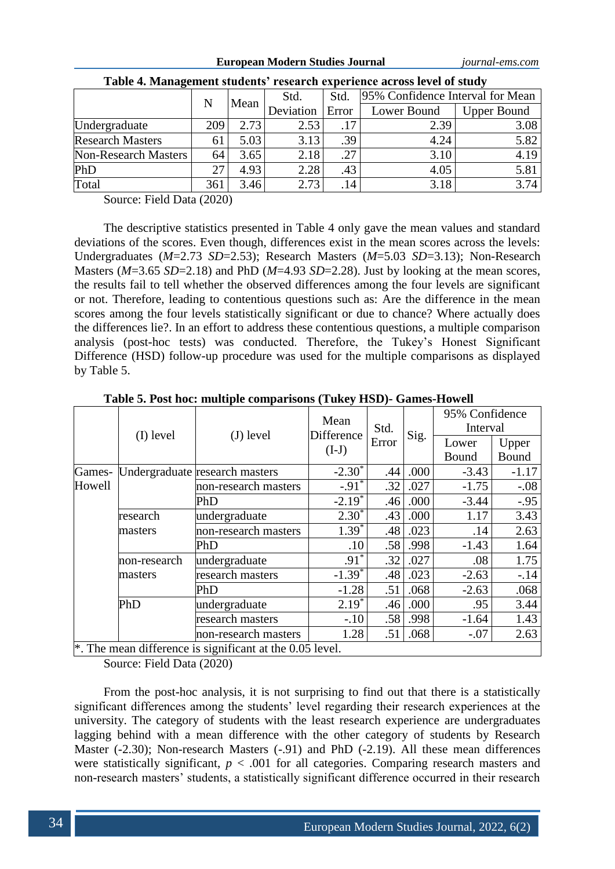|  | European Modern Studies Journal |
|--|---------------------------------|
|--|---------------------------------|

**European Modern Studies Journal** *journal-ems.com*

| Tuble is hummgement statemes. Testar en experience across force of state |     |      |              |       |                                  |                    |  |  |  |
|--------------------------------------------------------------------------|-----|------|--------------|-------|----------------------------------|--------------------|--|--|--|
|                                                                          | N   | Mean | Std.<br>Std. |       | 95% Confidence Interval for Mean |                    |  |  |  |
|                                                                          |     |      | Deviation    | Error | Lower Bound                      | <b>Upper Bound</b> |  |  |  |
| Undergraduate                                                            | 209 | 2.73 | 2.53         | .17   | 2.39                             | 3.08               |  |  |  |
| <b>Research Masters</b>                                                  | 61  | 5.03 | 3.13         | .39   | 4.24                             | 5.82               |  |  |  |
| Non-Research Masters                                                     | 64  | 3.65 | 2.18         | .27   | 3.10                             | 4.19               |  |  |  |
| PhD                                                                      |     | 4.93 | 2.28         | .43   | 4.05                             | 5.81               |  |  |  |
| Total                                                                    | 361 | 3.46 | 2.73         | .14   | 3.18                             | 3.74               |  |  |  |

| Table 4. Management students' research experience across level of study |  |  |
|-------------------------------------------------------------------------|--|--|
|                                                                         |  |  |

Source: Field Data (2020)

The descriptive statistics presented in Table 4 only gave the mean values and standard deviations of the scores. Even though, differences exist in the mean scores across the levels: Undergraduates (*M*=2.73 *SD*=2.53); Research Masters (*M*=5.03 *SD*=3.13); Non-Research Masters (*M*=3.65 *SD*=2.18) and PhD (*M*=4.93 *SD*=2.28). Just by looking at the mean scores, the results fail to tell whether the observed differences among the four levels are significant or not. Therefore, leading to contentious questions such as: Are the difference in the mean scores among the four levels statistically significant or due to chance? Where actually does the differences lie?. In an effort to address these contentious questions, a multiple comparison analysis (post-hoc tests) was conducted. Therefore, the Tukey's Honest Significant Difference (HSD) follow-up procedure was used for the multiple comparisons as displayed by Table 5.

|         |              |                                                                      | Mean                 |               |      | 95% Confidence |         |
|---------|--------------|----------------------------------------------------------------------|----------------------|---------------|------|----------------|---------|
|         | (I) level    |                                                                      | Difference           | Std.<br>Error |      | Interval       |         |
|         |              | $(J)$ level                                                          | $(I-J)$              |               | Sig. | Lower          | Upper   |
|         |              |                                                                      |                      |               |      | Bound          | Bound   |
| Games-  |              | Undergraduate research masters                                       | $-2.30^*$            | .44           | .000 | $-3.43$        | $-1.17$ |
| Howell  |              | non-research masters                                                 | $-.91$ <sup>*</sup>  | .32           | .027 | $-1.75$        | $-.08$  |
|         |              | PhD                                                                  | $-2.19$ <sup>*</sup> | .46           | .000 | $-3.44$        | $-.95$  |
|         | research     | undergraduate                                                        | $2.30^*$             | .43           | .000 | 1.17           | 3.43    |
|         | masters      | non-research masters                                                 | $1.39^{*}$           | .48           | .023 | .14            | 2.63    |
|         |              | PhD                                                                  | .10                  | .58           | .998 | $-1.43$        | 1.64    |
|         | non-research | undergraduate                                                        | $.91^*$              | .32           | .027 | .08            | 1.75    |
| masters |              | research masters                                                     | $-1.39$ <sup>*</sup> | .48           | .023 | $-2.63$        | $-.14$  |
|         |              | PhD                                                                  | $-1.28$              | .51           | .068 | $-2.63$        | .068    |
|         | PhD          | undergraduate                                                        | $2.19*$              | .46           | .000 | .95            | 3.44    |
|         |              | research masters                                                     | $-.10$               | .58           | .998 | $-1.64$        | 1.43    |
|         |              | non-research masters                                                 | 1.28                 | .51           | .068 | $-.07$         | 2.63    |
|         |              | <sup>*</sup> . The mean difference is significant at the 0.05 level. |                      |               |      |                |         |

**Table 5. Post hoc: multiple comparisons (Tukey HSD)- Games-Howell**

\*. The mean difference is significant at the 0.05 level.

Source: Field Data (2020)

From the post-hoc analysis, it is not surprising to find out that there is a statistically significant differences among the students' level regarding their research experiences at the university. The category of students with the least research experience are undergraduates lagging behind with a mean difference with the other category of students by Research Master (-2.30); Non-research Masters (-.91) and PhD (-2.19). All these mean differences were statistically significant,  $p < .001$  for all categories. Comparing research masters and non-research masters' students, a statistically significant difference occurred in their research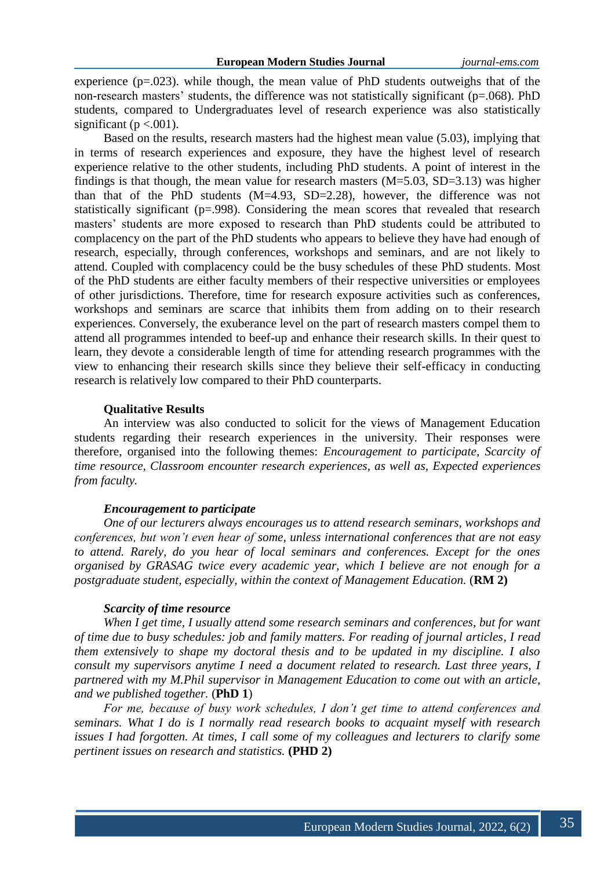experience  $(p=.023)$ , while though, the mean value of PhD students outweighs that of the non-research masters' students, the difference was not statistically significant (p=.068). PhD students, compared to Undergraduates level of research experience was also statistically significant ( $p < .001$ ).

Based on the results, research masters had the highest mean value (5.03), implying that in terms of research experiences and exposure, they have the highest level of research experience relative to the other students, including PhD students. A point of interest in the findings is that though, the mean value for research masters  $(M=5.03, SD=3.13)$  was higher than that of the PhD students (M=4.93, SD=2.28), however, the difference was not statistically significant (p=.998). Considering the mean scores that revealed that research masters' students are more exposed to research than PhD students could be attributed to complacency on the part of the PhD students who appears to believe they have had enough of research, especially, through conferences, workshops and seminars, and are not likely to attend. Coupled with complacency could be the busy schedules of these PhD students. Most of the PhD students are either faculty members of their respective universities or employees of other jurisdictions. Therefore, time for research exposure activities such as conferences, workshops and seminars are scarce that inhibits them from adding on to their research experiences. Conversely, the exuberance level on the part of research masters compel them to attend all programmes intended to beef-up and enhance their research skills. In their quest to learn, they devote a considerable length of time for attending research programmes with the view to enhancing their research skills since they believe their self-efficacy in conducting research is relatively low compared to their PhD counterparts.

### **Qualitative Results**

An interview was also conducted to solicit for the views of Management Education students regarding their research experiences in the university. Their responses were therefore, organised into the following themes: *Encouragement to participate, Scarcity of time resource, Classroom encounter research experiences, as well as, Expected experiences from faculty.*

#### *Encouragement to participate*

*One of our lecturers always encourages us to attend research seminars, workshops and conferences, but won't even hear of some, unless international conferences that are not easy to attend. Rarely, do you hear of local seminars and conferences. Except for the ones organised by GRASAG twice every academic year, which I believe are not enough for a postgraduate student, especially, within the context of Management Education.* (*RM 2*)

## *Scarcity of time resource*

*When I get time, I usually attend some research seminars and conferences, but for want of time due to busy schedules: job and family matters. For reading of journal articles, I read them extensively to shape my doctoral thesis and to be updated in my discipline. I also consult my supervisors anytime I need a document related to research. Last three years, I partnered with my M.Phil supervisor in Management Education to come out with an article, and we published together.* (**PhD 1**)

*For me, because of busy work schedules, I don't get time to attend conferences and seminars. What I do is I normally read research books to acquaint myself with research issues I had forgotten. At times, I call some of my colleagues and lecturers to clarify some pertinent issues on research and statistics.* **(PHD 2)**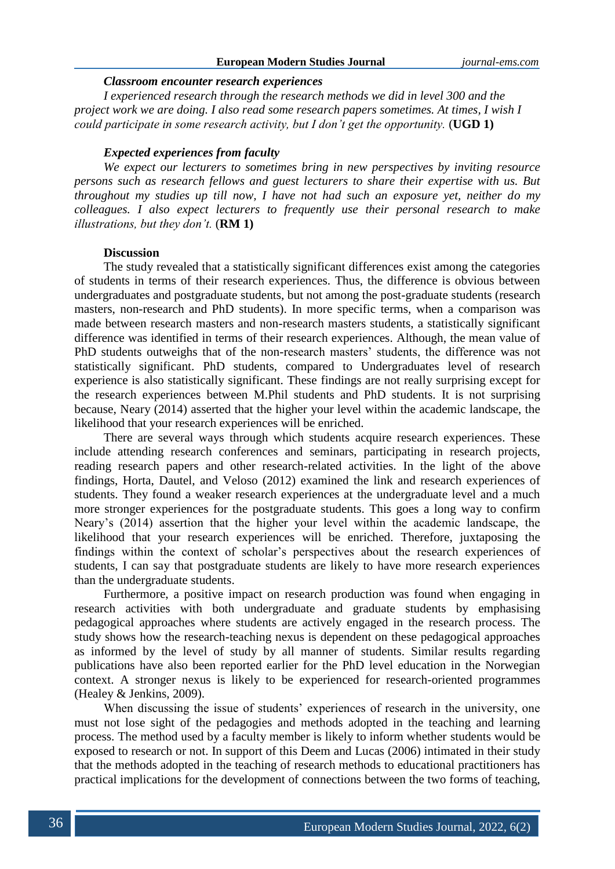## **European Modern Studies Journal** *journal-ems.com*

#### *Classroom encounter research experiences*

*I experienced research through the research methods we did in level 300 and the project work we are doing. I also read some research papers sometimes. At times, I wish I could participate in some research activity, but I don't get the opportunity.* (**UGD 1)**

### *Expected experiences from faculty*

*We expect our lecturers to sometimes bring in new perspectives by inviting resource persons such as research fellows and guest lecturers to share their expertise with us. But throughout my studies up till now, I have not had such an exposure yet, neither do my colleagues. I also expect lecturers to frequently use their personal research to make illustrations, but they don't.* (**RM 1)**

#### **Discussion**

The study revealed that a statistically significant differences exist among the categories of students in terms of their research experiences. Thus, the difference is obvious between undergraduates and postgraduate students, but not among the post-graduate students (research masters, non-research and PhD students). In more specific terms, when a comparison was made between research masters and non-research masters students, a statistically significant difference was identified in terms of their research experiences. Although, the mean value of PhD students outweighs that of the non-research masters' students, the difference was not statistically significant. PhD students, compared to Undergraduates level of research experience is also statistically significant. These findings are not really surprising except for the research experiences between M.Phil students and PhD students. It is not surprising because, Neary (2014) asserted that the higher your level within the academic landscape, the likelihood that your research experiences will be enriched.

There are several ways through which students acquire research experiences. These include attending research conferences and seminars, participating in research projects, reading research papers and other research-related activities. In the light of the above findings, Horta, Dautel, and Veloso (2012) examined the link and research experiences of students. They found a weaker research experiences at the undergraduate level and a much more stronger experiences for the postgraduate students. This goes a long way to confirm Neary's (2014) assertion that the higher your level within the academic landscape, the likelihood that your research experiences will be enriched. Therefore, juxtaposing the findings within the context of scholar's perspectives about the research experiences of students, I can say that postgraduate students are likely to have more research experiences than the undergraduate students.

Furthermore, a positive impact on research production was found when engaging in research activities with both undergraduate and graduate students by emphasising pedagogical approaches where students are actively engaged in the research process. The study shows how the research-teaching nexus is dependent on these pedagogical approaches as informed by the level of study by all manner of students. Similar results regarding publications have also been reported earlier for the PhD level education in the Norwegian context. A stronger nexus is likely to be experienced for research-oriented programmes (Healey & Jenkins, 2009).

When discussing the issue of students' experiences of research in the university, one must not lose sight of the pedagogies and methods adopted in the teaching and learning process. The method used by a faculty member is likely to inform whether students would be exposed to research or not. In support of this Deem and Lucas (2006) intimated in their study that the methods adopted in the teaching of research methods to educational practitioners has practical implications for the development of connections between the two forms of teaching,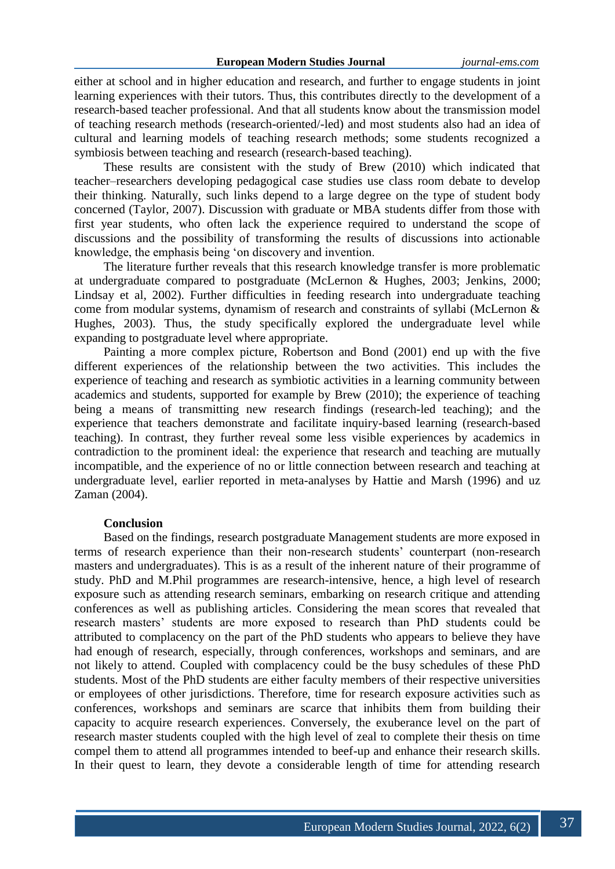either at school and in higher education and research, and further to engage students in joint learning experiences with their tutors. Thus, this contributes directly to the development of a research-based teacher professional. And that all students know about the transmission model of teaching research methods (research-oriented/-led) and most students also had an idea of cultural and learning models of teaching research methods; some students recognized a symbiosis between teaching and research (research-based teaching).

These results are consistent with the study of Brew (2010) which indicated that teacher–researchers developing pedagogical case studies use class room debate to develop their thinking. Naturally, such links depend to a large degree on the type of student body concerned (Taylor, 2007). Discussion with graduate or MBA students differ from those with first year students, who often lack the experience required to understand the scope of discussions and the possibility of transforming the results of discussions into actionable knowledge, the emphasis being 'on discovery and invention.

The literature further reveals that this research knowledge transfer is more problematic at undergraduate compared to postgraduate (McLernon & Hughes, 2003; Jenkins, 2000; Lindsay et al, 2002). Further difficulties in feeding research into undergraduate teaching come from modular systems, dynamism of research and constraints of syllabi (McLernon & Hughes, 2003). Thus, the study specifically explored the undergraduate level while expanding to postgraduate level where appropriate.

Painting a more complex picture, Robertson and Bond (2001) end up with the five different experiences of the relationship between the two activities. This includes the experience of teaching and research as symbiotic activities in a learning community between academics and students, supported for example by Brew (2010); the experience of teaching being a means of transmitting new research findings (research-led teaching); and the experience that teachers demonstrate and facilitate inquiry-based learning (research-based teaching). In contrast, they further reveal some less visible experiences by academics in contradiction to the prominent ideal: the experience that research and teaching are mutually incompatible, and the experience of no or little connection between research and teaching at undergraduate level, earlier reported in meta-analyses by Hattie and Marsh (1996) and uz Zaman (2004).

## **Conclusion**

Based on the findings, research postgraduate Management students are more exposed in terms of research experience than their non-research students' counterpart (non-research masters and undergraduates). This is as a result of the inherent nature of their programme of study. PhD and M.Phil programmes are research-intensive, hence, a high level of research exposure such as attending research seminars, embarking on research critique and attending conferences as well as publishing articles. Considering the mean scores that revealed that research masters' students are more exposed to research than PhD students could be attributed to complacency on the part of the PhD students who appears to believe they have had enough of research, especially, through conferences, workshops and seminars, and are not likely to attend. Coupled with complacency could be the busy schedules of these PhD students. Most of the PhD students are either faculty members of their respective universities or employees of other jurisdictions. Therefore, time for research exposure activities such as conferences, workshops and seminars are scarce that inhibits them from building their capacity to acquire research experiences. Conversely, the exuberance level on the part of research master students coupled with the high level of zeal to complete their thesis on time compel them to attend all programmes intended to beef-up and enhance their research skills. In their quest to learn, they devote a considerable length of time for attending research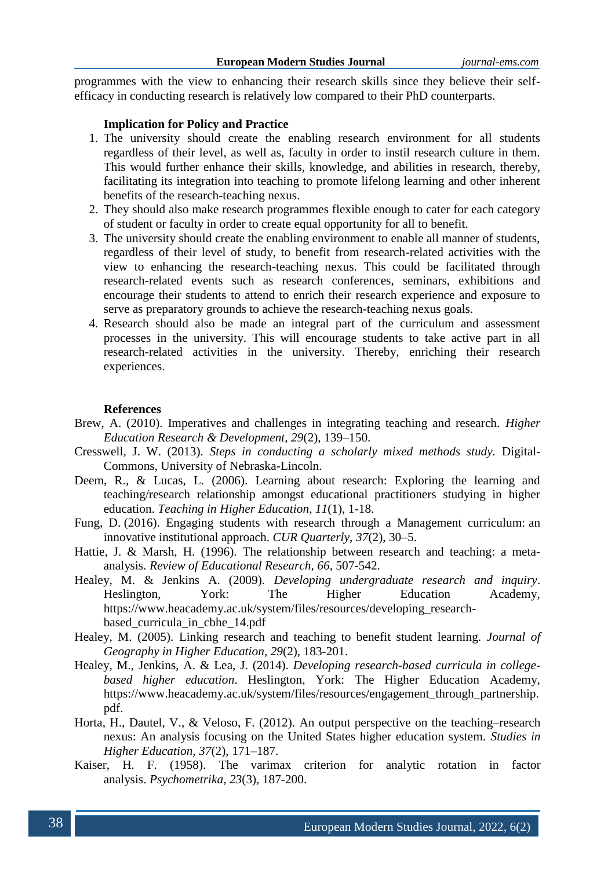programmes with the view to enhancing their research skills since they believe their selfefficacy in conducting research is relatively low compared to their PhD counterparts.

## **Implication for Policy and Practice**

- 1. The university should create the enabling research environment for all students regardless of their level, as well as, faculty in order to instil research culture in them. This would further enhance their skills, knowledge, and abilities in research, thereby, facilitating its integration into teaching to promote lifelong learning and other inherent benefits of the research-teaching nexus.
- 2. They should also make research programmes flexible enough to cater for each category of student or faculty in order to create equal opportunity for all to benefit.
- 3. The university should create the enabling environment to enable all manner of students, regardless of their level of study, to benefit from research-related activities with the view to enhancing the research-teaching nexus. This could be facilitated through research-related events such as research conferences, seminars, exhibitions and encourage their students to attend to enrich their research experience and exposure to serve as preparatory grounds to achieve the research-teaching nexus goals.
- 4. Research should also be made an integral part of the curriculum and assessment processes in the university. This will encourage students to take active part in all research-related activities in the university. Thereby, enriching their research experiences.

#### **References**

- Brew, A. (2010). Imperatives and challenges in integrating teaching and research. *Higher Education Research & Development, 29*(2), 139–150.
- Cresswell, J. W. (2013). *Steps in conducting a scholarly mixed methods study.* Digital-Commons, University of Nebraska-Lincoln.
- Deem, R., & Lucas, L. (2006). Learning about research: Exploring the learning and teaching/research relationship amongst educational practitioners studying in higher education. *Teaching in Higher Education, 11*(1), 1-18.
- Fung, D. (2016). Engaging students with research through a Management curriculum: an innovative institutional approach. *CUR Quarterly*, *37*(2), 30–5.
- Hattie, J. & Marsh, H. (1996). The relationship between research and teaching: a metaanalysis. *Review of Educational Research, 66*, 507-542.
- Healey, M. & Jenkins A. (2009). *Developing undergraduate research and inquiry*. Heslington, York: The Higher Education Academy, https://www.heacademy.ac.uk/system/files/resources/developing\_researchbased\_curricula\_in\_cbhe\_14.pdf
- Healey, M. (2005). Linking research and teaching to benefit student learning. *Journal of Geography in Higher Education, 29*(2), 183-201.
- Healey, M., Jenkins, A. & Lea, J. (2014). *Developing research-based curricula in collegebased higher education*. Heslington, York: The Higher Education Academy, https://www.heacademy.ac.uk/system/files/resources/engagement\_through\_partnership. pdf.
- Horta, H., Dautel, V., & Veloso, F. (2012). An output perspective on the teaching–research nexus: An analysis focusing on the United States higher education system. *Studies in Higher Education, 37*(2), 171–187.
- Kaiser, H. F. (1958). The varimax criterion for analytic rotation in factor analysis. *Psychometrika*, *23*(3), 187-200.